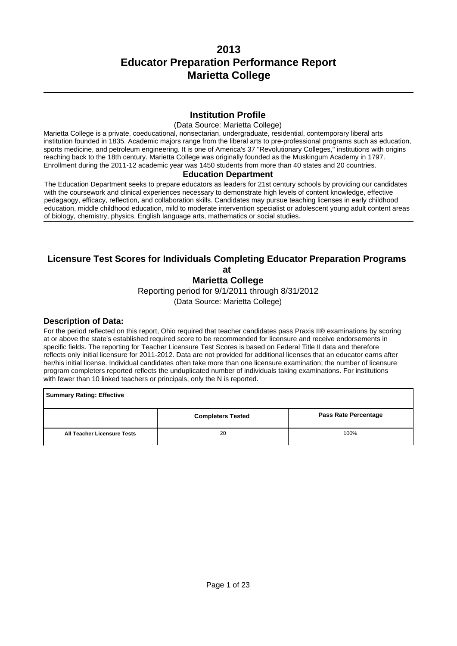### **Institution Profile**

#### (Data Source: Marietta College)

Marietta College is a private, coeducational, nonsectarian, undergraduate, residential, contemporary liberal arts institution founded in 1835. Academic majors range from the liberal arts to pre-professional programs such as education, sports medicine, and petroleum engineering. It is one of America's 37 "Revolutionary Colleges," institutions with origins reaching back to the 18th century. Marietta College was originally founded as the Muskingum Academy in 1797. Enrollment during the 2011-12 academic year was 1450 students from more than 40 states and 20 countries.

#### **Education Department**

The Education Department seeks to prepare educators as leaders for 21st century schools by providing our candidates with the coursework and clinical experiences necessary to demonstrate high levels of content knowledge, effective pedagaogy, efficacy, reflection, and collaboration skills. Candidates may pursue teaching licenses in early childhood education, middle childhood education, mild to moderate intervention specialist or adolescent young adult content areas of biology, chemistry, physics, English language arts, mathematics or social studies.

## **Licensure Test Scores for Individuals Completing Educator Preparation Programs at**

**Marietta College**

Reporting period for 9/1/2011 through 8/31/2012

(Data Source: Marietta College)

#### **Description of Data:**

For the period reflected on this report, Ohio required that teacher candidates pass Praxis II® examinations by scoring at or above the state's established required score to be recommended for licensure and receive endorsements in specific fields. The reporting for Teacher Licensure Test Scores is based on Federal Title II data and therefore reflects only initial licensure for 2011-2012. Data are not provided for additional licenses that an educator earns after her/his initial license. Individual candidates often take more than one licensure examination; the number of licensure program completers reported reflects the unduplicated number of individuals taking examinations. For institutions with fewer than 10 linked teachers or principals, only the N is reported.

**Summary Rating: Effective Completers Tested Completers Tested Rate Percentage All Teacher Licensure Tests** 20 100%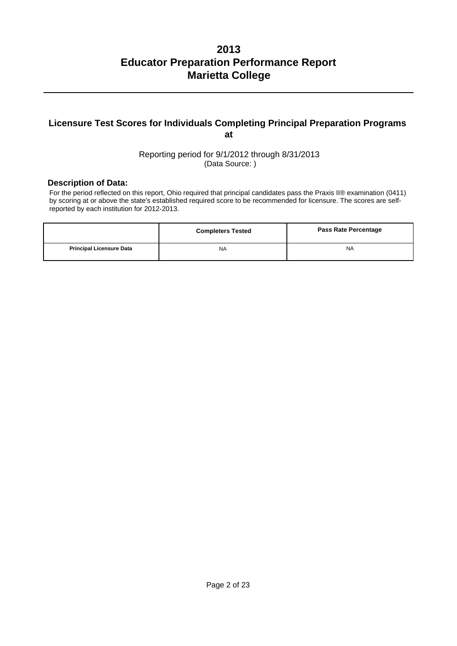## **Licensure Test Scores for Individuals Completing Principal Preparation Programs at**

Reporting period for 9/1/2012 through 8/31/2013 (Data Source: )

#### **Description of Data:**

For the period reflected on this report, Ohio required that principal candidates pass the Praxis II® examination (0411) by scoring at or above the state's established required score to be recommended for licensure. The scores are selfreported by each institution for 2012-2013.

|                                 | <b>Completers Tested</b> | <b>Pass Rate Percentage</b> |
|---------------------------------|--------------------------|-----------------------------|
| <b>Principal Licensure Data</b> | <b>NA</b>                | <b>NA</b>                   |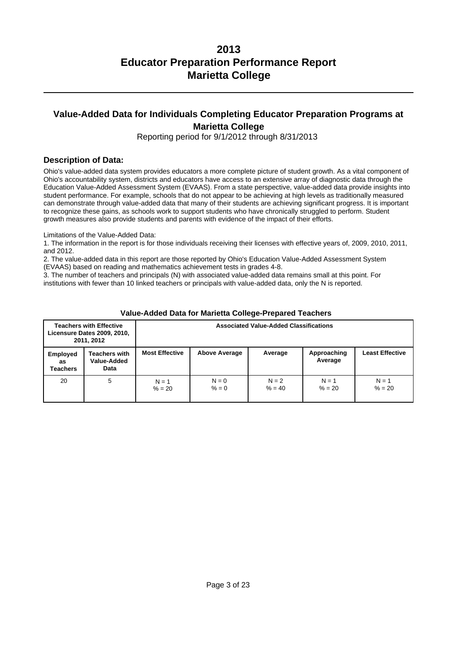## **Value-Added Data for Individuals Completing Educator Preparation Programs at Marietta College**

Reporting period for 9/1/2012 through 8/31/2013

### **Description of Data:**

Ohio's value-added data system provides educators a more complete picture of student growth. As a vital component of Ohio's accountability system, districts and educators have access to an extensive array of diagnostic data through the Education Value-Added Assessment System (EVAAS). From a state perspective, value-added data provide insights into student performance. For example, schools that do not appear to be achieving at high levels as traditionally measured can demonstrate through value-added data that many of their students are achieving significant progress. It is important to recognize these gains, as schools work to support students who have chronically struggled to perform. Student growth measures also provide students and parents with evidence of the impact of their efforts.

Limitations of the Value-Added Data:

1. The information in the report is for those individuals receiving their licenses with effective years of, 2009, 2010, 2011, and 2012.

2. The value-added data in this report are those reported by Ohio's Education Value-Added Assessment System (EVAAS) based on reading and mathematics achievement tests in grades 4-8.

3. The number of teachers and principals (N) with associated value-added data remains small at this point. For institutions with fewer than 10 linked teachers or principals with value-added data, only the N is reported.

|                                   | <b>Teachers with Effective</b><br><b>Licensure Dates 2009, 2010,</b><br>2011, 2012 | <b>Associated Value-Added Classifications</b>                                                                |                    |                     |                     |                     |  |
|-----------------------------------|------------------------------------------------------------------------------------|--------------------------------------------------------------------------------------------------------------|--------------------|---------------------|---------------------|---------------------|--|
| <b>Employed</b><br>as<br>Teachers | Teachers with<br>Value-Added<br>Data                                               | <b>Most Effective</b><br><b>Least Effective</b><br><b>Above Average</b><br>Approaching<br>Average<br>Average |                    |                     |                     |                     |  |
| 20                                | 5                                                                                  | $N = 1$<br>$% = 20$                                                                                          | $N = 0$<br>$% = 0$ | $N = 2$<br>$% = 40$ | $N = 1$<br>$% = 20$ | $N = 1$<br>$% = 20$ |  |

#### **Value-Added Data for Marietta College-Prepared Teachers**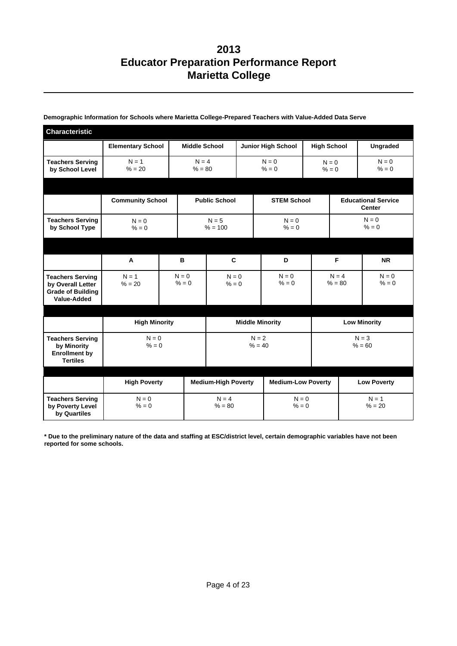| <b>Characteristic</b>                                                                   |                          |                      |                            |                    |                           |                    |                     |                                             |  |
|-----------------------------------------------------------------------------------------|--------------------------|----------------------|----------------------------|--------------------|---------------------------|--------------------|---------------------|---------------------------------------------|--|
|                                                                                         | <b>Elementary School</b> | <b>Middle School</b> |                            |                    | <b>Junior High School</b> |                    | <b>High School</b>  | <b>Ungraded</b>                             |  |
| <b>Teachers Serving</b><br>by School Level                                              | $N = 1$<br>$% = 20$      | $N = 4$<br>$% = 80$  |                            | $N = 0$<br>$% = 0$ |                           | $N = 0$<br>$% = 0$ |                     | $N = 0$<br>$% = 0$                          |  |
|                                                                                         |                          |                      |                            |                    |                           |                    |                     |                                             |  |
|                                                                                         | <b>Community School</b>  |                      | <b>Public School</b>       |                    | <b>STEM School</b>        |                    |                     | <b>Educational Service</b><br><b>Center</b> |  |
| <b>Teachers Serving</b><br>by School Type                                               | $N = 0$<br>$% = 0$       |                      | $N = 5$<br>$% = 100$       |                    | $N = 0$<br>$% = 0$        |                    |                     | $N = 0$<br>$% = 0$                          |  |
|                                                                                         |                          |                      |                            |                    |                           |                    |                     |                                             |  |
|                                                                                         | A                        | B                    | C                          |                    | D                         |                    | F                   | <b>NR</b>                                   |  |
| <b>Teachers Serving</b><br>by Overall Letter<br><b>Grade of Building</b><br>Value-Added | $N = 1$<br>$% = 20$      | $N = 0$<br>$% = 0$   | $N = 0$<br>$% = 0$         |                    | $N = 0$<br>$% = 0$        |                    | $N = 4$<br>$% = 80$ | $N = 0$<br>$% = 0$                          |  |
|                                                                                         |                          |                      |                            |                    |                           |                    |                     |                                             |  |
|                                                                                         | <b>High Minority</b>     |                      | <b>Middle Minority</b>     |                    |                           |                    | <b>Low Minority</b> |                                             |  |
| <b>Teachers Serving</b><br>by Minority<br><b>Enrollment by</b><br><b>Tertiles</b>       | $N = 0$<br>$% = 0$       |                      | $N = 2$<br>$% = 40$        |                    |                           |                    |                     | $N = 3$<br>$% = 60$                         |  |
|                                                                                         | <b>High Poverty</b>      |                      | <b>Medium-High Poverty</b> |                    | <b>Medium-Low Poverty</b> |                    |                     | <b>Low Poverty</b>                          |  |
| <b>Teachers Serving</b><br>by Poverty Level<br>by Quartiles                             | $N = 0$<br>$% = 0$       |                      | $N = 4$<br>$% = 80$        |                    | $N = 0$<br>$% = 0$        |                    |                     | $N = 1$<br>$% = 20$                         |  |

#### **Demographic Information for Schools where Marietta College-Prepared Teachers with Value-Added Data Serve**

**\* Due to the preliminary nature of the data and staffing at ESC/district level, certain demographic variables have not been reported for some schools.**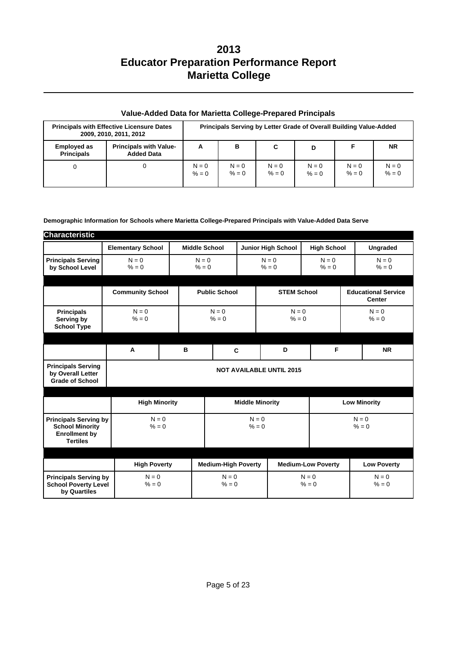| <b>Principals with Effective Licensure Dates</b><br>2009, 2010, 2011, 2012 |                                                    |                    |                    | Principals Serving by Letter Grade of Overall Building Value-Added |                    |                    |                    |
|----------------------------------------------------------------------------|----------------------------------------------------|--------------------|--------------------|--------------------------------------------------------------------|--------------------|--------------------|--------------------|
| <b>Employed as</b><br><b>Principals</b>                                    | <b>Principals with Value-</b><br><b>Added Data</b> | A                  | в                  | C                                                                  | D                  |                    | <b>NR</b>          |
| 0                                                                          | 0                                                  | $N = 0$<br>$% = 0$ | $N = 0$<br>$% = 0$ | $N = 0$<br>$% = 0$                                                 | $N = 0$<br>$% = 0$ | $N = 0$<br>$% = 0$ | $N = 0$<br>$% = 0$ |

### **Value-Added Data for Marietta College-Prepared Principals**

#### **Demographic Information for Schools where Marietta College-Prepared Principals with Value-Added Data Serve**

| <b>Characteristic</b>                                                                             |                          |                            |                    |                        |                           |                                 |                    |                                             |                     |
|---------------------------------------------------------------------------------------------------|--------------------------|----------------------------|--------------------|------------------------|---------------------------|---------------------------------|--------------------|---------------------------------------------|---------------------|
|                                                                                                   | <b>Elementary School</b> | <b>Middle School</b>       |                    |                        |                           | <b>Junior High School</b>       | <b>High School</b> |                                             | Ungraded            |
| <b>Principals Serving</b><br>by School Level                                                      | $N = 0$<br>$% = 0$       | $N = 0$<br>$% = 0$         |                    | $N = 0$<br>$% = 0$     |                           | $N = 0$<br>$% = 0$              |                    | $N = 0$<br>$% = 0$                          |                     |
|                                                                                                   | <b>Community School</b>  | <b>Public School</b>       |                    | <b>STEM School</b>     |                           |                                 |                    | <b>Educational Service</b><br><b>Center</b> |                     |
| <b>Principals</b><br>Serving by<br><b>School Type</b>                                             | $N = 0$<br>$% = 0$       | $N = 0$<br>$% = 0$         |                    | $N = 0$<br>$% = 0$     |                           |                                 | $N = 0$<br>$% = 0$ |                                             |                     |
|                                                                                                   | A                        | B<br>C                     |                    | D                      | F                         |                                 | <b>NR</b>          |                                             |                     |
| <b>Principals Serving</b><br>by Overall Letter<br><b>Grade of School</b>                          |                          |                            |                    |                        |                           | <b>NOT AVAILABLE UNTIL 2015</b> |                    |                                             |                     |
|                                                                                                   | <b>High Minority</b>     |                            |                    | <b>Middle Minority</b> |                           |                                 |                    |                                             | <b>Low Minority</b> |
| <b>Principals Serving by</b><br><b>School Minority</b><br><b>Enrollment by</b><br><b>Tertiles</b> | $N = 0$<br>$% = 0$       |                            | $N = 0$<br>$% = 0$ |                        |                           | $N = 0$<br>$% = 0$              |                    |                                             |                     |
|                                                                                                   |                          |                            |                    |                        |                           |                                 |                    |                                             |                     |
|                                                                                                   | <b>High Poverty</b>      | <b>Medium-High Poverty</b> |                    |                        | <b>Medium-Low Poverty</b> |                                 |                    | <b>Low Poverty</b>                          |                     |
| <b>Principals Serving by</b><br><b>School Poverty Level</b><br>by Quartiles                       | $N = 0$<br>$% = 0$       |                            | $N = 0$<br>$% = 0$ |                        |                           | $N = 0$<br>$% = 0$              |                    |                                             | $N = 0$<br>$% = 0$  |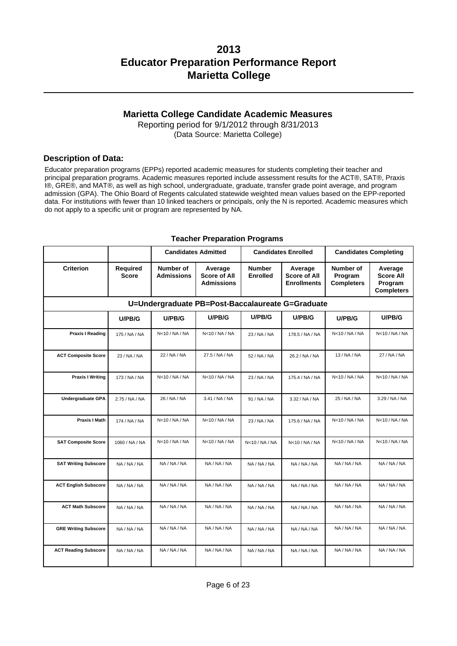### **Marietta College Candidate Academic Measures**

Reporting period for 9/1/2012 through 8/31/2013 (Data Source: Marietta College)

### **Description of Data:**

Educator preparation programs (EPPs) reported academic measures for students completing their teacher and principal preparation programs. Academic measures reported include assessment results for the ACT®, SAT®, Praxis I®, GRE®, and MAT®, as well as high school, undergraduate, graduate, transfer grade point average, and program admission (GPA). The Ohio Board of Regents calculated statewide weighted mean values based on the EPP-reported data. For institutions with fewer than 10 linked teachers or principals, only the N is reported. Academic measures which do not apply to a specific unit or program are represented by NA.

|                                                  |                                 | <b>Candidates Admitted</b>     |                                              |                                  | <b>Candidates Enrolled</b>                           |                                           | <b>Candidates Completing</b>                                |  |
|--------------------------------------------------|---------------------------------|--------------------------------|----------------------------------------------|----------------------------------|------------------------------------------------------|-------------------------------------------|-------------------------------------------------------------|--|
| <b>Criterion</b>                                 | <b>Required</b><br><b>Score</b> | Number of<br><b>Admissions</b> | Average<br><b>Score of All</b><br>Admissions | <b>Number</b><br><b>Enrolled</b> | Average<br><b>Score of All</b><br><b>Enrollments</b> | Number of<br>Program<br><b>Completers</b> | Average<br><b>Score All</b><br>Program<br><b>Completers</b> |  |
| U=Undergraduate PB=Post-Baccalaureate G=Graduate |                                 |                                |                                              |                                  |                                                      |                                           |                                                             |  |
|                                                  | U/PB/G                          | U/PB/G                         | U/PB/G                                       | U/PB/G                           | U/PB/G                                               | U/PB/G                                    | U/PB/G                                                      |  |
| <b>Praxis I Reading</b>                          | 175 / NA / NA                   | N<10 / NA / NA                 | N<10 / NA / NA                               | 23 / NA / NA                     | 178.5 / NA / NA                                      | N<10 / NA / NA                            | N<10 / NA / NA                                              |  |
| <b>ACT Composite Score</b>                       | 23 / NA / NA                    | 22 / NA / NA                   | 27.5 / NA / NA                               | 52 / NA / NA                     | 26.2 / NA / NA                                       | 13 / NA / NA                              | 27 / NA / NA                                                |  |
| <b>Praxis I Writing</b>                          | 173 / NA / NA                   | N<10 / NA / NA                 | N<10 / NA / NA                               | 23 / NA / NA                     | 175.4 / NA / NA                                      | N<10 / NA / NA                            | N<10 / NA / NA                                              |  |
| <b>Undergraduate GPA</b>                         | 2.75 / NA / NA                  | 26 / NA / NA                   | 3.41 / NA / NA                               | 91 / NA / NA                     | 3.32 / NA / NA                                       | 25 / NA / NA                              | 3.29 / NA / NA                                              |  |
| <b>Praxis I Math</b>                             | 174 / NA / NA                   | N<10 / NA / NA                 | N<10/NA/NA                                   | 23 / NA / NA                     | 175.6 / NA / NA                                      | N<10 / NA / NA                            | N<10 / NA / NA                                              |  |
| <b>SAT Composite Score</b>                       | 1060 / NA / NA                  | N <sub>10</sub> /NA/NA         | N <sub>10</sub> /NA/NA                       | N<10 / NA / NA                   | N<10 / NA / NA                                       | N <sub>10</sub> /NA/NA                    | N <sub>10</sub> /NA/NA                                      |  |
| <b>SAT Writing Subscore</b>                      | NA / NA / NA                    | NA / NA / NA                   | NA / NA / NA                                 | NA / NA / NA                     | NA / NA / NA                                         | NA / NA / NA                              | NA / NA / NA                                                |  |
| <b>ACT English Subscore</b>                      | NA / NA / NA                    | NA / NA / NA                   | NA / NA / NA                                 | NA / NA / NA                     | NA / NA / NA                                         | NA / NA / NA                              | NA / NA / NA                                                |  |
| <b>ACT Math Subscore</b>                         | NA / NA / NA                    | NA / NA / NA                   | NA / NA / NA                                 | NA / NA / NA                     | NA / NA / NA                                         | NA / NA / NA                              | NA / NA / NA                                                |  |
| <b>GRE Writing Subscore</b>                      | NA / NA / NA                    | NA / NA / NA                   | NA / NA / NA                                 | NA / NA / NA                     | NA / NA / NA                                         | NA / NA / NA                              | NA / NA / NA                                                |  |
| <b>ACT Reading Subscore</b>                      | NA / NA / NA                    | NA / NA / NA                   | NA / NA / NA                                 | NA/NA/NA                         | NA / NA / NA                                         | NA / NA / NA                              | NA / NA / NA                                                |  |

#### **Teacher Preparation Programs**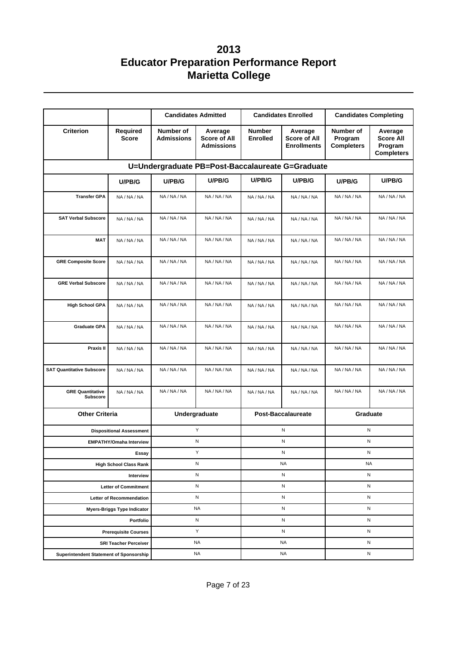|                                                             |                                                         |                                | <b>Candidates Admitted</b>                          |                                  | <b>Candidates Enrolled</b>                           | <b>Candidates Completing</b>              |                                                             |
|-------------------------------------------------------------|---------------------------------------------------------|--------------------------------|-----------------------------------------------------|----------------------------------|------------------------------------------------------|-------------------------------------------|-------------------------------------------------------------|
| <b>Criterion</b>                                            | <b>Required</b><br><b>Score</b>                         | Number of<br><b>Admissions</b> | Average<br><b>Score of All</b><br><b>Admissions</b> | <b>Number</b><br><b>Enrolled</b> | Average<br><b>Score of All</b><br><b>Enrollments</b> | Number of<br>Program<br><b>Completers</b> | Average<br><b>Score All</b><br>Program<br><b>Completers</b> |
|                                                             |                                                         |                                | U=Undergraduate PB=Post-Baccalaureate G=Graduate    |                                  |                                                      |                                           |                                                             |
|                                                             | U/PB/G                                                  | U/PB/G                         | U/PB/G                                              | U/PB/G                           | U/PB/G                                               | U/PB/G                                    | U/PB/G                                                      |
| <b>Transfer GPA</b>                                         | NA / NA / NA                                            | NA / NA / NA                   | NA / NA / NA                                        | NA/NA/NA                         | NA / NA / NA                                         | NA / NA / NA                              | NA / NA / NA                                                |
| <b>SAT Verbal Subscore</b>                                  | NA / NA / NA                                            | NA / NA / NA                   | NA / NA / NA                                        | NA / NA / NA                     | NA / NA / NA                                         | NA / NA / NA                              | NA / NA / NA                                                |
| <b>MAT</b>                                                  | NA / NA / NA                                            | NA / NA / NA                   | NA / NA / NA                                        | NA / NA / NA                     | NA / NA / NA                                         | NA / NA / NA                              | NA / NA / NA                                                |
| <b>GRE Composite Score</b>                                  | NA / NA / NA                                            | NA / NA / NA                   | NA / NA / NA                                        | NA / NA / NA                     | NA / NA / NA                                         | NA / NA / NA                              | NA / NA / NA                                                |
| <b>GRE Verbal Subscore</b>                                  | NA / NA / NA                                            | NA / NA / NA                   | NA / NA / NA                                        | NA / NA / NA                     | NA / NA / NA                                         | NA / NA / NA                              | NA / NA / NA                                                |
| <b>High School GPA</b>                                      | NA / NA / NA                                            | NA / NA / NA                   | NA / NA / NA                                        | NA / NA / NA                     | NA / NA / NA                                         | NA / NA / NA                              | NA / NA / NA                                                |
| <b>Graduate GPA</b>                                         | NA / NA / NA                                            | NA / NA / NA                   | NA / NA / NA                                        | NA / NA / NA                     | NA / NA / NA                                         | NA / NA / NA                              | NA / NA / NA                                                |
| Praxis II                                                   | NA / NA / NA                                            | NA / NA / NA                   | NA / NA / NA                                        | NA / NA / NA                     | NA / NA / NA                                         | NA / NA / NA                              | NA / NA / NA                                                |
| <b>SAT Quantitative Subscore</b>                            | NA / NA / NA                                            | NA / NA / NA                   | NA / NA / NA                                        | NA / NA / NA                     | NA / NA / NA                                         | NA / NA / NA                              | NA / NA / NA                                                |
| <b>GRE Quantitative</b><br><b>Subscore</b>                  | NA / NA / NA                                            | NA / NA / NA                   | NA / NA / NA                                        | NA / NA / NA                     | NA / NA / NA                                         | NA / NA / NA                              | NA / NA / NA                                                |
| <b>Other Criteria</b>                                       |                                                         |                                | Undergraduate                                       |                                  | <b>Post-Baccalaureate</b>                            | Graduate                                  |                                                             |
|                                                             | <b>Dispositional Assessment</b>                         |                                | Υ                                                   |                                  | N                                                    | N                                         |                                                             |
|                                                             | <b>EMPATHY/Omaha Interview</b>                          |                                | N                                                   |                                  | N                                                    | N                                         |                                                             |
|                                                             | Essay                                                   |                                | Υ                                                   |                                  | ${\sf N}$                                            | ${\sf N}$                                 |                                                             |
|                                                             | <b>High School Class Rank</b>                           |                                | ${\sf N}$                                           |                                  | <b>NA</b>                                            | <b>NA</b>                                 |                                                             |
|                                                             | Interview                                               |                                | N                                                   |                                  | N                                                    | N                                         |                                                             |
|                                                             | Letter of Commitment<br><b>Letter of Recommendation</b> |                                | N<br>N                                              |                                  | Ν<br>Ν                                               | N<br>N                                    |                                                             |
|                                                             | <b>Myers-Briggs Type Indicator</b>                      |                                | <b>NA</b>                                           |                                  | N                                                    | N                                         |                                                             |
|                                                             | Portfolio                                               |                                | N                                                   | N                                |                                                      | ${\sf N}$                                 |                                                             |
|                                                             | <b>Prerequisite Courses</b>                             |                                | Y                                                   | N                                |                                                      | N                                         |                                                             |
|                                                             | <b>SRI Teacher Perceiver</b>                            |                                | <b>NA</b>                                           |                                  | <b>NA</b>                                            | N                                         |                                                             |
| <b>NA</b><br><b>Superintendent Statement of Sponsorship</b> |                                                         |                                | <b>NA</b>                                           |                                  | N                                                    |                                           |                                                             |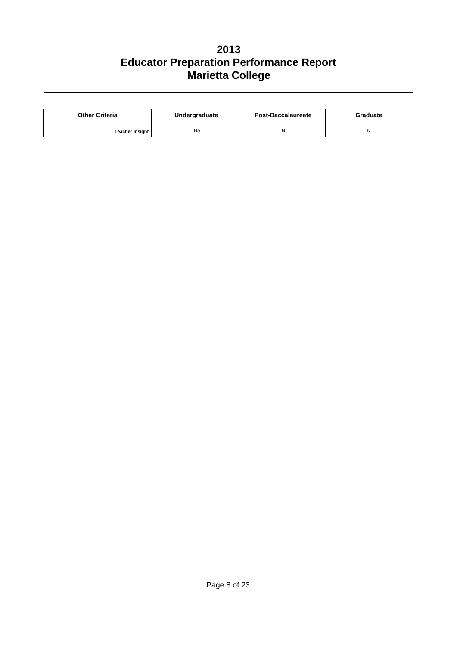| <b>Other Criteria</b>  | Undergraduate | Post-Baccalaureate | Graduate |  |
|------------------------|---------------|--------------------|----------|--|
| <b>Teacher Insight</b> | <b>NA</b>     |                    |          |  |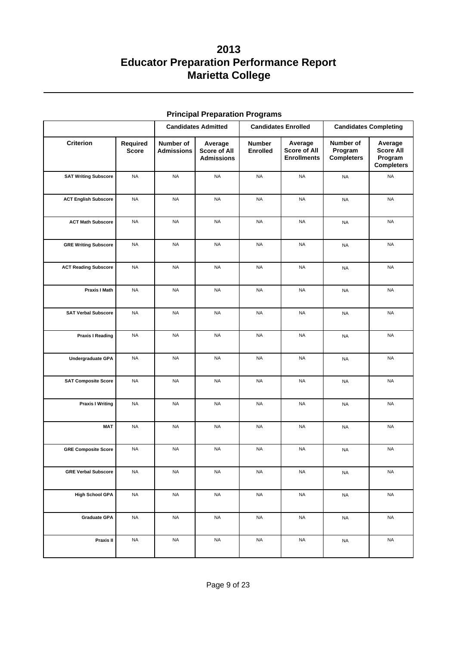|                             |                          |                                | <b>Candidates Admitted</b>                          |                                  | <b>Candidates Enrolled</b>                    |                                           | <b>Candidates Completing</b>                         |
|-----------------------------|--------------------------|--------------------------------|-----------------------------------------------------|----------------------------------|-----------------------------------------------|-------------------------------------------|------------------------------------------------------|
| Criterion                   | Required<br><b>Score</b> | Number of<br><b>Admissions</b> | Average<br><b>Score of All</b><br><b>Admissions</b> | <b>Number</b><br><b>Enrolled</b> | Average<br>Score of All<br><b>Enrollments</b> | Number of<br>Program<br><b>Completers</b> | Average<br>Score All<br>Program<br><b>Completers</b> |
| <b>SAT Writing Subscore</b> | <b>NA</b>                | <b>NA</b>                      | <b>NA</b>                                           | <b>NA</b>                        | <b>NA</b>                                     | <b>NA</b>                                 | <b>NA</b>                                            |
| <b>ACT English Subscore</b> | <b>NA</b>                | <b>NA</b>                      | <b>NA</b>                                           | <b>NA</b>                        | <b>NA</b>                                     | <b>NA</b>                                 | <b>NA</b>                                            |
| <b>ACT Math Subscore</b>    | <b>NA</b>                | <b>NA</b>                      | <b>NA</b>                                           | <b>NA</b>                        | <b>NA</b>                                     | <b>NA</b>                                 | <b>NA</b>                                            |
| <b>GRE Writing Subscore</b> | <b>NA</b>                | <b>NA</b>                      | <b>NA</b>                                           | <b>NA</b>                        | <b>NA</b>                                     | <b>NA</b>                                 | <b>NA</b>                                            |
| <b>ACT Reading Subscore</b> | <b>NA</b>                | <b>NA</b>                      | <b>NA</b>                                           | <b>NA</b>                        | <b>NA</b>                                     | <b>NA</b>                                 | <b>NA</b>                                            |
| Praxis I Math               | <b>NA</b>                | <b>NA</b>                      | <b>NA</b>                                           | <b>NA</b>                        | <b>NA</b>                                     | <b>NA</b>                                 | <b>NA</b>                                            |
| <b>SAT Verbal Subscore</b>  | <b>NA</b>                | <b>NA</b>                      | <b>NA</b>                                           | <b>NA</b>                        | <b>NA</b>                                     | <b>NA</b>                                 | <b>NA</b>                                            |
| <b>Praxis I Reading</b>     | <b>NA</b>                | <b>NA</b>                      | <b>NA</b>                                           | <b>NA</b>                        | <b>NA</b>                                     | <b>NA</b>                                 | <b>NA</b>                                            |
| Undergraduate GPA           | <b>NA</b>                | <b>NA</b>                      | <b>NA</b>                                           | <b>NA</b>                        | <b>NA</b>                                     | <b>NA</b>                                 | <b>NA</b>                                            |
| <b>SAT Composite Score</b>  | <b>NA</b>                | <b>NA</b>                      | <b>NA</b>                                           | <b>NA</b>                        | <b>NA</b>                                     | <b>NA</b>                                 | <b>NA</b>                                            |
| <b>Praxis I Writing</b>     | <b>NA</b>                | <b>NA</b>                      | <b>NA</b>                                           | <b>NA</b>                        | <b>NA</b>                                     | <b>NA</b>                                 | <b>NA</b>                                            |
| <b>MAT</b>                  | <b>NA</b>                | <b>NA</b>                      | <b>NA</b>                                           | <b>NA</b>                        | <b>NA</b>                                     | <b>NA</b>                                 | <b>NA</b>                                            |
| <b>GRE Composite Score</b>  | <b>NA</b>                | <b>NA</b>                      | <b>NA</b>                                           | <b>NA</b>                        | <b>NA</b>                                     | <b>NA</b>                                 | <b>NA</b>                                            |
| <b>GRE Verbal Subscore</b>  | <b>NA</b>                | <b>NA</b>                      | <b>NA</b>                                           | <b>NA</b>                        | <b>NA</b>                                     | <b>NA</b>                                 | <b>NA</b>                                            |
| <b>High School GPA</b>      | <b>NA</b>                | <b>NA</b>                      | <b>NA</b>                                           | <b>NA</b>                        | <b>NA</b>                                     | $\sf NA$                                  | <b>NA</b>                                            |
| <b>Graduate GPA</b>         | <b>NA</b>                | <b>NA</b>                      | <b>NA</b>                                           | <b>NA</b>                        | <b>NA</b>                                     | <b>NA</b>                                 | <b>NA</b>                                            |
| Praxis II                   | <b>NA</b>                | <b>NA</b>                      | <b>NA</b>                                           | <b>NA</b>                        | <b>NA</b>                                     | $\sf NA$                                  | <b>NA</b>                                            |

### **Principal Preparation Programs**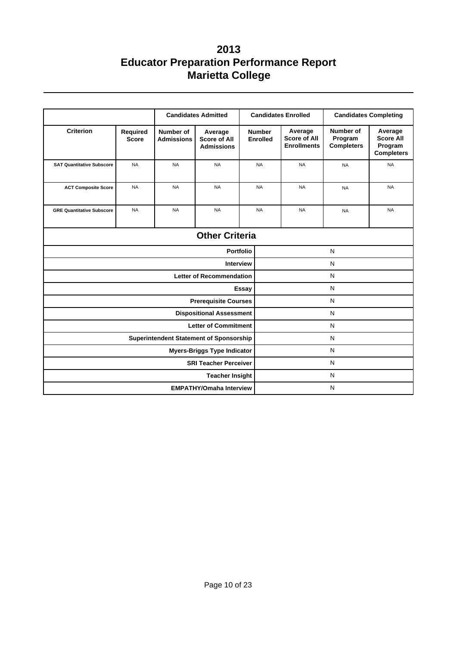|                                                |                          | <b>Candidates Admitted</b>     |                                                     |                  |                                  | <b>Candidates Enrolled</b>                           |                                           | <b>Candidates Completing</b>                                |  |
|------------------------------------------------|--------------------------|--------------------------------|-----------------------------------------------------|------------------|----------------------------------|------------------------------------------------------|-------------------------------------------|-------------------------------------------------------------|--|
| <b>Criterion</b>                               | Required<br><b>Score</b> | Number of<br><b>Admissions</b> | Average<br><b>Score of All</b><br><b>Admissions</b> |                  | <b>Number</b><br><b>Enrolled</b> | Average<br><b>Score of All</b><br><b>Enrollments</b> | Number of<br>Program<br><b>Completers</b> | Average<br><b>Score All</b><br>Program<br><b>Completers</b> |  |
| <b>SAT Quantitative Subscore</b>               | <b>NA</b>                | <b>NA</b>                      | <b>NA</b>                                           |                  | <b>NA</b>                        | <b>NA</b>                                            | <b>NA</b>                                 | <b>NA</b>                                                   |  |
| <b>ACT Composite Score</b>                     | <b>NA</b>                | <b>NA</b>                      | <b>NA</b>                                           |                  | <b>NA</b>                        | <b>NA</b>                                            | <b>NA</b>                                 | <b>NA</b>                                                   |  |
| <b>GRE Quantitative Subscore</b>               | <b>NA</b>                | <b>NA</b>                      | <b>NA</b>                                           |                  | <b>NA</b>                        | <b>NA</b>                                            | <b>NA</b>                                 | <b>NA</b>                                                   |  |
|                                                |                          |                                | <b>Other Criteria</b>                               |                  |                                  |                                                      |                                           |                                                             |  |
|                                                |                          |                                |                                                     | <b>Portfolio</b> | N                                |                                                      |                                           |                                                             |  |
|                                                |                          |                                | <b>Interview</b>                                    |                  | N                                |                                                      |                                           |                                                             |  |
|                                                |                          |                                | <b>Letter of Recommendation</b>                     |                  | N                                |                                                      |                                           |                                                             |  |
|                                                |                          |                                |                                                     | Essay            | $\mathsf{N}$                     |                                                      |                                           |                                                             |  |
|                                                |                          |                                | <b>Prerequisite Courses</b>                         |                  |                                  |                                                      | N                                         |                                                             |  |
|                                                |                          |                                | <b>Dispositional Assessment</b>                     |                  | N                                |                                                      |                                           |                                                             |  |
|                                                |                          |                                | <b>Letter of Commitment</b>                         |                  |                                  |                                                      | N                                         |                                                             |  |
| <b>Superintendent Statement of Sponsorship</b> |                          |                                |                                                     |                  |                                  |                                                      | N                                         |                                                             |  |
| <b>Myers-Briggs Type Indicator</b>             |                          |                                |                                                     |                  |                                  | N                                                    |                                           |                                                             |  |
| <b>SRI Teacher Perceiver</b>                   |                          |                                |                                                     |                  |                                  | N                                                    |                                           |                                                             |  |
|                                                |                          |                                | <b>Teacher Insight</b>                              |                  | N                                |                                                      |                                           |                                                             |  |
|                                                |                          |                                | <b>EMPATHY/Omaha Interview</b>                      |                  |                                  |                                                      | N                                         |                                                             |  |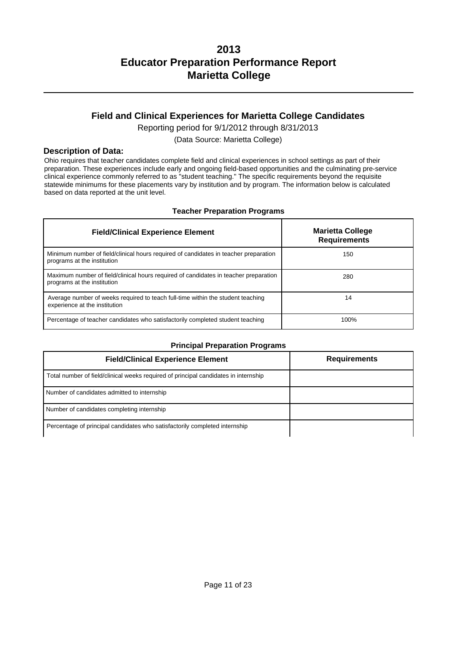## **Field and Clinical Experiences for Marietta College Candidates**

Reporting period for 9/1/2012 through 8/31/2013

(Data Source: Marietta College)

### **Description of Data:**

Ohio requires that teacher candidates complete field and clinical experiences in school settings as part of their preparation. These experiences include early and ongoing field-based opportunities and the culminating pre-service clinical experience commonly referred to as "student teaching." The specific requirements beyond the requisite statewide minimums for these placements vary by institution and by program. The information below is calculated based on data reported at the unit level.

### **Teacher Preparation Programs**

| <b>Field/Clinical Experience Element</b>                                                                            | <b>Marietta College</b><br><b>Requirements</b> |
|---------------------------------------------------------------------------------------------------------------------|------------------------------------------------|
| Minimum number of field/clinical hours required of candidates in teacher preparation<br>programs at the institution | 150                                            |
| Maximum number of field/clinical hours required of candidates in teacher preparation<br>programs at the institution | 280                                            |
| Average number of weeks required to teach full-time within the student teaching<br>experience at the institution    | 14                                             |
| Percentage of teacher candidates who satisfactorily completed student teaching                                      | 100%                                           |

### **Principal Preparation Programs**

| <b>Field/Clinical Experience Element</b>                                            | <b>Requirements</b> |
|-------------------------------------------------------------------------------------|---------------------|
| Total number of field/clinical weeks required of principal candidates in internship |                     |
| Number of candidates admitted to internship                                         |                     |
| Number of candidates completing internship                                          |                     |
| Percentage of principal candidates who satisfactorily completed internship          |                     |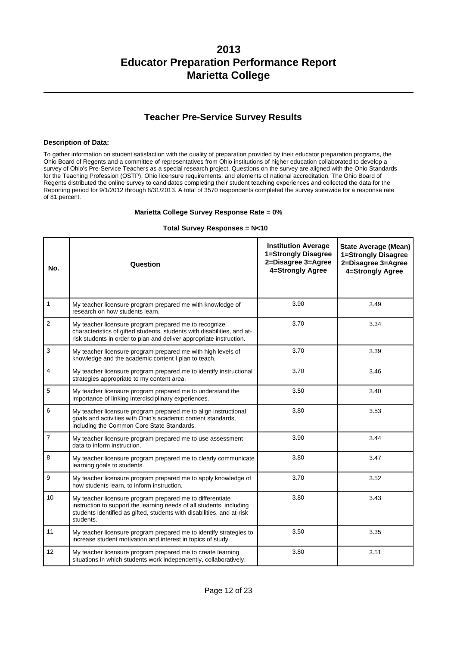## **Teacher Pre-Service Survey Results**

#### **Description of Data:**

To gather information on student satisfaction with the quality of preparation provided by their educator preparation programs, the Ohio Board of Regents and a committee of representatives from Ohio institutions of higher education collaborated to develop a survey of Ohio's Pre-Service Teachers as a special research project. Questions on the survey are aligned with the Ohio Standards for the Teaching Profession (OSTP), Ohio licensure requirements, and elements of national accreditation. The Ohio Board of Regents distributed the online survey to candidates completing their student teaching experiences and collected the data for the Reporting period for 9/1/2012 through 8/31/2013. A total of 3570 respondents completed the survey statewide for a response rate of 81 percent.

#### **Marietta College Survey Response Rate = 0%**

#### **Total Survey Responses = N<10**

| No.              | Question                                                                                                                                                                                                                 | <b>Institution Average</b><br>1=Strongly Disagree<br>2=Disagree 3=Agree<br>4=Strongly Agree | <b>State Average (Mean)</b><br>1=Strongly Disagree<br>2=Disagree 3=Agree<br>4=Strongly Agree |
|------------------|--------------------------------------------------------------------------------------------------------------------------------------------------------------------------------------------------------------------------|---------------------------------------------------------------------------------------------|----------------------------------------------------------------------------------------------|
| $\mathbf{1}$     | My teacher licensure program prepared me with knowledge of<br>research on how students learn.                                                                                                                            | 3.90                                                                                        | 3.49                                                                                         |
| $\overline{2}$   | My teacher licensure program prepared me to recognize<br>characteristics of gifted students, students with disabilities, and at-<br>risk students in order to plan and deliver appropriate instruction.                  | 3.70                                                                                        | 3.34                                                                                         |
| $\mathsf 3$      | My teacher licensure program prepared me with high levels of<br>knowledge and the academic content I plan to teach.                                                                                                      | 3.70                                                                                        | 3.39                                                                                         |
| $\overline{4}$   | My teacher licensure program prepared me to identify instructional<br>strategies appropriate to my content area.                                                                                                         | 3.70                                                                                        | 3.46                                                                                         |
| 5                | My teacher licensure program prepared me to understand the<br>importance of linking interdisciplinary experiences.                                                                                                       | 3.50                                                                                        | 3.40                                                                                         |
| 6                | My teacher licensure program prepared me to align instructional<br>goals and activities with Ohio's academic content standards,<br>including the Common Core State Standards.                                            | 3.80                                                                                        | 3.53                                                                                         |
| $\overline{7}$   | My teacher licensure program prepared me to use assessment<br>data to inform instruction.                                                                                                                                | 3.90                                                                                        | 3.44                                                                                         |
| 8                | My teacher licensure program prepared me to clearly communicate<br>learning goals to students.                                                                                                                           | 3.80                                                                                        | 3.47                                                                                         |
| 9                | My teacher licensure program prepared me to apply knowledge of<br>how students learn, to inform instruction.                                                                                                             | 3.70                                                                                        | 3.52                                                                                         |
| 10 <sup>10</sup> | My teacher licensure program prepared me to differentiate<br>instruction to support the learning needs of all students, including<br>students identified as gifted, students with disabilities, and at-risk<br>students. | 3.80                                                                                        | 3.43                                                                                         |
| 11               | My teacher licensure program prepared me to identify strategies to<br>increase student motivation and interest in topics of study.                                                                                       | 3.50                                                                                        | 3.35                                                                                         |
| 12               | My teacher licensure program prepared me to create learning<br>situations in which students work independently, collaboratively,                                                                                         | 3.80                                                                                        | 3.51                                                                                         |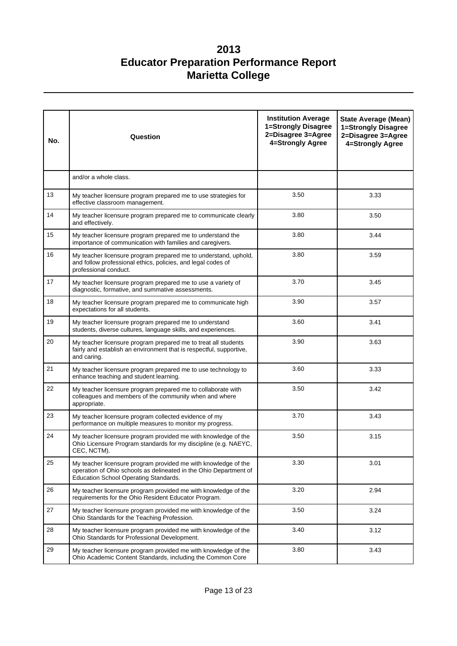| No. | Question                                                                                                                                                                     | <b>Institution Average</b><br>1=Strongly Disagree<br>2=Disagree 3=Agree<br>4=Strongly Agree | <b>State Average (Mean)</b><br>1=Strongly Disagree<br>2=Disagree 3=Agree<br>4=Strongly Agree |
|-----|------------------------------------------------------------------------------------------------------------------------------------------------------------------------------|---------------------------------------------------------------------------------------------|----------------------------------------------------------------------------------------------|
|     | and/or a whole class.                                                                                                                                                        |                                                                                             |                                                                                              |
| 13  | My teacher licensure program prepared me to use strategies for<br>effective classroom management.                                                                            | 3.50                                                                                        | 3.33                                                                                         |
| 14  | My teacher licensure program prepared me to communicate clearly<br>and effectively.                                                                                          | 3.80                                                                                        | 3.50                                                                                         |
| 15  | My teacher licensure program prepared me to understand the<br>importance of communication with families and caregivers.                                                      | 3.80                                                                                        | 3.44                                                                                         |
| 16  | My teacher licensure program prepared me to understand, uphold,<br>and follow professional ethics, policies, and legal codes of<br>professional conduct.                     | 3.80                                                                                        | 3.59                                                                                         |
| 17  | My teacher licensure program prepared me to use a variety of<br>diagnostic, formative, and summative assessments.                                                            | 3.70                                                                                        | 3.45                                                                                         |
| 18  | My teacher licensure program prepared me to communicate high<br>expectations for all students.                                                                               | 3.90                                                                                        | 3.57                                                                                         |
| 19  | My teacher licensure program prepared me to understand<br>students, diverse cultures, language skills, and experiences.                                                      | 3.60                                                                                        | 3.41                                                                                         |
| 20  | My teacher licensure program prepared me to treat all students<br>fairly and establish an environment that is respectful, supportive,<br>and caring.                         | 3.90                                                                                        | 3.63                                                                                         |
| 21  | My teacher licensure program prepared me to use technology to<br>enhance teaching and student learning.                                                                      | 3.60                                                                                        | 3.33                                                                                         |
| 22  | My teacher licensure program prepared me to collaborate with<br>colleagues and members of the community when and where<br>appropriate.                                       | 3.50                                                                                        | 3.42                                                                                         |
| 23  | My teacher licensure program collected evidence of my<br>performance on multiple measures to monitor my progress.                                                            | 3.70                                                                                        | 3.43                                                                                         |
| 24  | My teacher licensure program provided me with knowledge of the<br>Ohio Licensure Program standards for my discipline (e.g. NAEYC,<br>CEC, NCTM).                             | 3.50                                                                                        | 3.15                                                                                         |
| 25  | My teacher licensure program provided me with knowledge of the<br>operation of Ohio schools as delineated in the Ohio Department of<br>Education School Operating Standards. | 3.30                                                                                        | 3.01                                                                                         |
| 26  | My teacher licensure program provided me with knowledge of the<br>requirements for the Ohio Resident Educator Program.                                                       | 3.20                                                                                        | 2.94                                                                                         |
| 27  | My teacher licensure program provided me with knowledge of the<br>Ohio Standards for the Teaching Profession.                                                                | 3.50                                                                                        | 3.24                                                                                         |
| 28  | My teacher licensure program provided me with knowledge of the<br>Ohio Standards for Professional Development.                                                               | 3.40                                                                                        | 3.12                                                                                         |
| 29  | My teacher licensure program provided me with knowledge of the<br>Ohio Academic Content Standards, including the Common Core                                                 | 3.80                                                                                        | 3.43                                                                                         |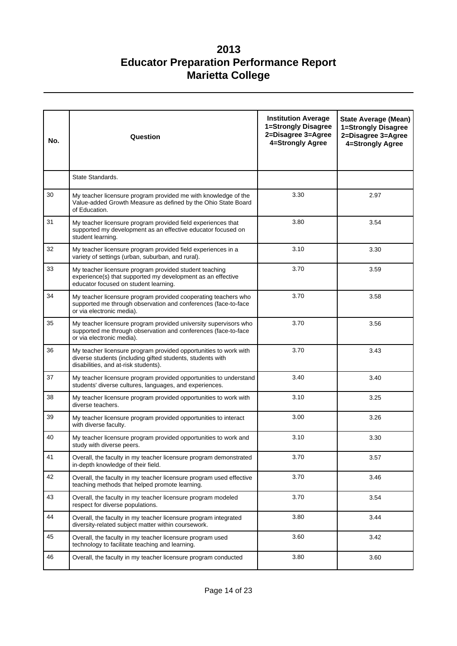| No. | Question                                                                                                                                                               | <b>Institution Average</b><br>1=Strongly Disagree<br>2=Disagree 3=Agree<br>4=Strongly Agree | <b>State Average (Mean)</b><br>1=Strongly Disagree<br>2=Disagree 3=Agree<br>4=Strongly Agree |
|-----|------------------------------------------------------------------------------------------------------------------------------------------------------------------------|---------------------------------------------------------------------------------------------|----------------------------------------------------------------------------------------------|
|     | State Standards.                                                                                                                                                       |                                                                                             |                                                                                              |
| 30  | My teacher licensure program provided me with knowledge of the<br>Value-added Growth Measure as defined by the Ohio State Board<br>of Education.                       | 3.30                                                                                        | 2.97                                                                                         |
| 31  | My teacher licensure program provided field experiences that<br>supported my development as an effective educator focused on<br>student learning.                      | 3.80                                                                                        | 3.54                                                                                         |
| 32  | My teacher licensure program provided field experiences in a<br>variety of settings (urban, suburban, and rural).                                                      | 3.10                                                                                        | 3.30                                                                                         |
| 33  | My teacher licensure program provided student teaching<br>experience(s) that supported my development as an effective<br>educator focused on student learning.         | 3.70                                                                                        | 3.59                                                                                         |
| 34  | My teacher licensure program provided cooperating teachers who<br>supported me through observation and conferences (face-to-face<br>or via electronic media).          | 3.70                                                                                        | 3.58                                                                                         |
| 35  | My teacher licensure program provided university supervisors who<br>supported me through observation and conferences (face-to-face<br>or via electronic media).        | 3.70                                                                                        | 3.56                                                                                         |
| 36  | My teacher licensure program provided opportunities to work with<br>diverse students (including gifted students, students with<br>disabilities, and at-risk students). | 3.70                                                                                        | 3.43                                                                                         |
| 37  | My teacher licensure program provided opportunities to understand<br>students' diverse cultures, languages, and experiences.                                           | 3.40                                                                                        | 3.40                                                                                         |
| 38  | My teacher licensure program provided opportunities to work with<br>diverse teachers.                                                                                  | 3.10                                                                                        | 3.25                                                                                         |
| 39  | My teacher licensure program provided opportunities to interact<br>with diverse faculty.                                                                               | 3.00                                                                                        | 3.26                                                                                         |
| 40  | My teacher licensure program provided opportunities to work and<br>study with diverse peers.                                                                           | 3.10                                                                                        | 3.30                                                                                         |
| 41  | Overall, the faculty in my teacher licensure program demonstrated<br>in-depth knowledge of their field.                                                                | 3.70                                                                                        | 3.57                                                                                         |
| 42  | Overall, the faculty in my teacher licensure program used effective<br>teaching methods that helped promote learning.                                                  | 3.70                                                                                        | 3.46                                                                                         |
| 43  | Overall, the faculty in my teacher licensure program modeled<br>respect for diverse populations.                                                                       | 3.70                                                                                        | 3.54                                                                                         |
| 44  | Overall, the faculty in my teacher licensure program integrated<br>diversity-related subject matter within coursework.                                                 | 3.80                                                                                        | 3.44                                                                                         |
| 45  | Overall, the faculty in my teacher licensure program used<br>technology to facilitate teaching and learning.                                                           | 3.60                                                                                        | 3.42                                                                                         |
| 46  | Overall, the faculty in my teacher licensure program conducted                                                                                                         | 3.80                                                                                        | 3.60                                                                                         |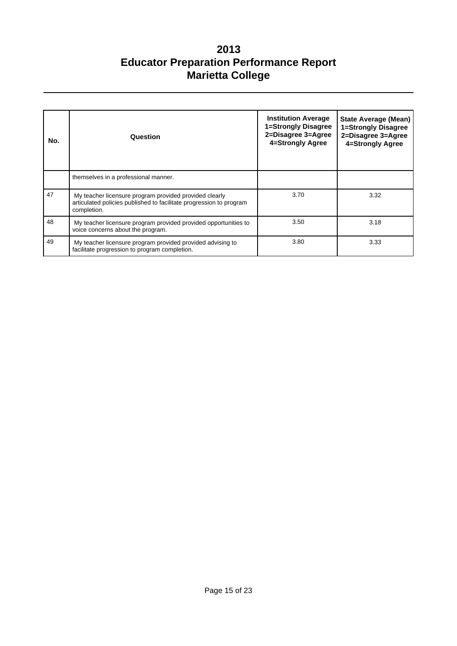| No. | Question                                                                                                                                     | <b>Institution Average</b><br>1=Strongly Disagree<br>2=Disagree 3=Agree<br>4=Strongly Agree | <b>State Average (Mean)</b><br>1=Strongly Disagree<br>2=Disagree 3=Agree<br>4=Strongly Agree |
|-----|----------------------------------------------------------------------------------------------------------------------------------------------|---------------------------------------------------------------------------------------------|----------------------------------------------------------------------------------------------|
|     | themselves in a professional manner.                                                                                                         |                                                                                             |                                                                                              |
| 47  | My teacher licensure program provided provided clearly<br>articulated policies published to facilitate progression to program<br>completion. | 3.70                                                                                        | 3.32                                                                                         |
| 48  | My teacher licensure program provided provided opportunities to<br>voice concerns about the program.                                         | 3.50                                                                                        | 3.18                                                                                         |
| 49  | My teacher licensure program provided provided advising to<br>facilitate progression to program completion.                                  | 3.80                                                                                        | 3.33                                                                                         |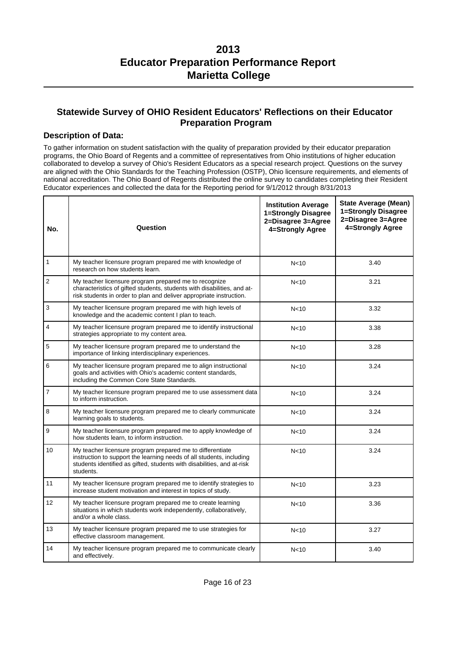### **Statewide Survey of OHIO Resident Educators' Reflections on their Educator Preparation Program**

### **Description of Data:**

To gather information on student satisfaction with the quality of preparation provided by their educator preparation programs, the Ohio Board of Regents and a committee of representatives from Ohio institutions of higher education collaborated to develop a survey of Ohio's Resident Educators as a special research project. Questions on the survey are aligned with the Ohio Standards for the Teaching Profession (OSTP), Ohio licensure requirements, and elements of national accreditation. The Ohio Board of Regents distributed the online survey to candidates completing their Resident Educator experiences and collected the data for the Reporting period for 9/1/2012 through 8/31/2013

| No.             | Question                                                                                                                                                                                                                 | <b>Institution Average</b><br>1=Strongly Disagree<br>2=Disagree 3=Agree<br>4=Strongly Agree | <b>State Average (Mean)</b><br>1=Strongly Disagree<br>2=Disagree 3=Agree<br>4=Strongly Agree |
|-----------------|--------------------------------------------------------------------------------------------------------------------------------------------------------------------------------------------------------------------------|---------------------------------------------------------------------------------------------|----------------------------------------------------------------------------------------------|
| 1               | My teacher licensure program prepared me with knowledge of<br>research on how students learn.                                                                                                                            | N <sub>10</sub>                                                                             | 3.40                                                                                         |
| $\overline{2}$  | My teacher licensure program prepared me to recognize<br>characteristics of gifted students, students with disabilities, and at-<br>risk students in order to plan and deliver appropriate instruction.                  | N <sub>10</sub>                                                                             | 3.21                                                                                         |
| 3               | My teacher licensure program prepared me with high levels of<br>knowledge and the academic content I plan to teach.                                                                                                      | N <sub>10</sub>                                                                             | 3.32                                                                                         |
| 4               | My teacher licensure program prepared me to identify instructional<br>strategies appropriate to my content area.                                                                                                         | N <sub>10</sub>                                                                             | 3.38                                                                                         |
| 5               | My teacher licensure program prepared me to understand the<br>importance of linking interdisciplinary experiences.                                                                                                       | N <sub>10</sub>                                                                             | 3.28                                                                                         |
| 6               | My teacher licensure program prepared me to align instructional<br>goals and activities with Ohio's academic content standards,<br>including the Common Core State Standards.                                            | N <sub>10</sub>                                                                             | 3.24                                                                                         |
| $\overline{7}$  | My teacher licensure program prepared me to use assessment data<br>to inform instruction.                                                                                                                                | N <sub>10</sub>                                                                             | 3.24                                                                                         |
| 8               | My teacher licensure program prepared me to clearly communicate<br>learning goals to students.                                                                                                                           | N <sub>10</sub>                                                                             | 3.24                                                                                         |
| 9               | My teacher licensure program prepared me to apply knowledge of<br>how students learn, to inform instruction.                                                                                                             | N <sub>10</sub>                                                                             | 3.24                                                                                         |
| 10              | My teacher licensure program prepared me to differentiate<br>instruction to support the learning needs of all students, including<br>students identified as gifted, students with disabilities, and at-risk<br>students. | N <sub>10</sub>                                                                             | 3.24                                                                                         |
| 11              | My teacher licensure program prepared me to identify strategies to<br>increase student motivation and interest in topics of study.                                                                                       | N <sub>10</sub>                                                                             | 3.23                                                                                         |
| 12 <sup>2</sup> | My teacher licensure program prepared me to create learning<br>situations in which students work independently, collaboratively,<br>and/or a whole class.                                                                | N <sub>10</sub>                                                                             | 3.36                                                                                         |
| 13              | My teacher licensure program prepared me to use strategies for<br>effective classroom management.                                                                                                                        | N <sub>10</sub>                                                                             | 3.27                                                                                         |
| 14              | My teacher licensure program prepared me to communicate clearly<br>and effectively.                                                                                                                                      | N <sub>10</sub>                                                                             | 3.40                                                                                         |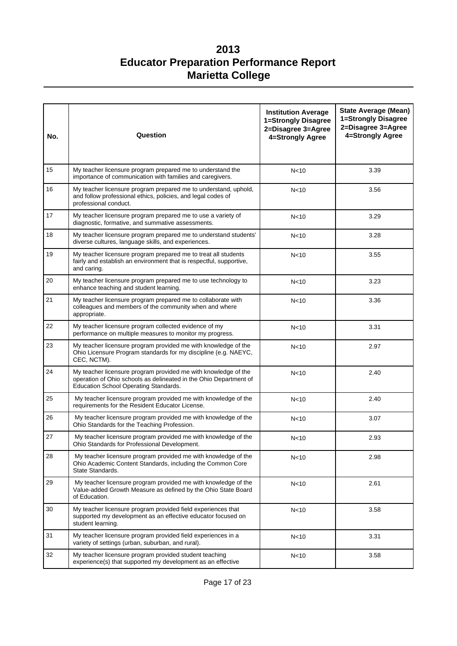| No. | Question                                                                                                                                                                            | <b>Institution Average</b><br>1=Strongly Disagree<br>2=Disagree 3=Agree<br>4=Strongly Agree | <b>State Average (Mean)</b><br>1=Strongly Disagree<br>2=Disagree 3=Agree<br>4=Strongly Agree |
|-----|-------------------------------------------------------------------------------------------------------------------------------------------------------------------------------------|---------------------------------------------------------------------------------------------|----------------------------------------------------------------------------------------------|
| 15  | My teacher licensure program prepared me to understand the<br>importance of communication with families and caregivers.                                                             | N <sub>10</sub>                                                                             | 3.39                                                                                         |
| 16  | My teacher licensure program prepared me to understand, uphold,<br>and follow professional ethics, policies, and legal codes of<br>professional conduct.                            | N <sub>10</sub>                                                                             | 3.56                                                                                         |
| 17  | My teacher licensure program prepared me to use a variety of<br>diagnostic, formative, and summative assessments.                                                                   | N <sub>10</sub>                                                                             | 3.29                                                                                         |
| 18  | My teacher licensure program prepared me to understand students'<br>diverse cultures, language skills, and experiences.                                                             | N <sub>10</sub>                                                                             | 3.28                                                                                         |
| 19  | My teacher licensure program prepared me to treat all students<br>fairly and establish an environment that is respectful, supportive,<br>and caring.                                | N <sub>10</sub>                                                                             | 3.55                                                                                         |
| 20  | My teacher licensure program prepared me to use technology to<br>enhance teaching and student learning.                                                                             | N <sub>10</sub>                                                                             | 3.23                                                                                         |
| 21  | My teacher licensure program prepared me to collaborate with<br>colleagues and members of the community when and where<br>appropriate.                                              | N <sub>10</sub>                                                                             | 3.36                                                                                         |
| 22  | My teacher licensure program collected evidence of my<br>performance on multiple measures to monitor my progress.                                                                   | N <sub>10</sub>                                                                             | 3.31                                                                                         |
| 23  | My teacher licensure program provided me with knowledge of the<br>Ohio Licensure Program standards for my discipline (e.g. NAEYC,<br>CEC, NCTM).                                    | N <sub>10</sub>                                                                             | 2.97                                                                                         |
| 24  | My teacher licensure program provided me with knowledge of the<br>operation of Ohio schools as delineated in the Ohio Department of<br><b>Education School Operating Standards.</b> | N <sub>10</sub>                                                                             | 2.40                                                                                         |
| 25  | My teacher licensure program provided me with knowledge of the<br>requirements for the Resident Educator License.                                                                   | N <sub>10</sub>                                                                             | 2.40                                                                                         |
| 26  | My teacher licensure program provided me with knowledge of the<br>Ohio Standards for the Teaching Profession.                                                                       | N <sub>10</sub>                                                                             | 3.07                                                                                         |
| 27  | My teacher licensure program provided me with knowledge of the<br>Ohio Standards for Professional Development.                                                                      | N <sub>10</sub>                                                                             | 2.93                                                                                         |
| 28  | My teacher licensure program provided me with knowledge of the<br>Ohio Academic Content Standards, including the Common Core<br>State Standards.                                    | N <sub>10</sub>                                                                             | 2.98                                                                                         |
| 29  | My teacher licensure program provided me with knowledge of the<br>Value-added Growth Measure as defined by the Ohio State Board<br>of Education.                                    | N <sub>10</sub>                                                                             | 2.61                                                                                         |
| 30  | My teacher licensure program provided field experiences that<br>supported my development as an effective educator focused on<br>student learning.                                   | N <sub>10</sub>                                                                             | 3.58                                                                                         |
| 31  | My teacher licensure program provided field experiences in a<br>variety of settings (urban, suburban, and rural).                                                                   | N <sub>10</sub>                                                                             | 3.31                                                                                         |
| 32  | My teacher licensure program provided student teaching<br>experience(s) that supported my development as an effective                                                               | N <sub>10</sub>                                                                             | 3.58                                                                                         |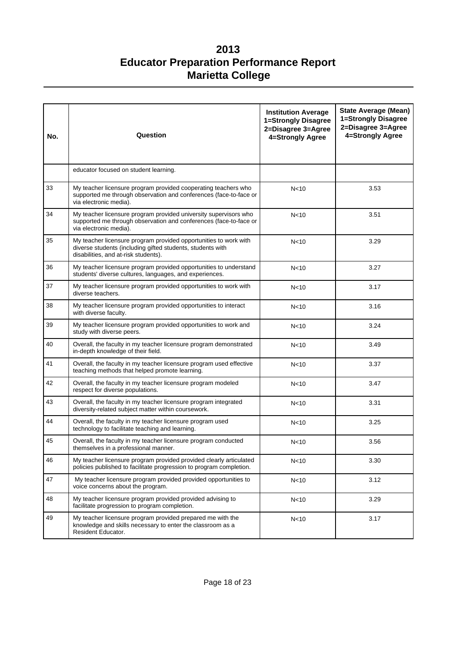| No. | Question                                                                                                                                                               | <b>Institution Average</b><br>1=Strongly Disagree<br>2=Disagree 3=Agree<br>4=Strongly Agree | <b>State Average (Mean)</b><br>1=Strongly Disagree<br>2=Disagree 3=Agree<br>4=Strongly Agree |
|-----|------------------------------------------------------------------------------------------------------------------------------------------------------------------------|---------------------------------------------------------------------------------------------|----------------------------------------------------------------------------------------------|
|     | educator focused on student learning.                                                                                                                                  |                                                                                             |                                                                                              |
| 33  | My teacher licensure program provided cooperating teachers who<br>supported me through observation and conferences (face-to-face or<br>via electronic media).          | N <sub>10</sub>                                                                             | 3.53                                                                                         |
| 34  | My teacher licensure program provided university supervisors who<br>supported me through observation and conferences (face-to-face or<br>via electronic media).        | N <sub>10</sub>                                                                             | 3.51                                                                                         |
| 35  | My teacher licensure program provided opportunities to work with<br>diverse students (including gifted students, students with<br>disabilities, and at-risk students). | N <sub>10</sub>                                                                             | 3.29                                                                                         |
| 36  | My teacher licensure program provided opportunities to understand<br>students' diverse cultures, languages, and experiences.                                           | N <sub>10</sub>                                                                             | 3.27                                                                                         |
| 37  | My teacher licensure program provided opportunities to work with<br>diverse teachers.                                                                                  | N <sub>10</sub>                                                                             | 3.17                                                                                         |
| 38  | My teacher licensure program provided opportunities to interact<br>with diverse faculty.                                                                               | N <sub>10</sub>                                                                             | 3.16                                                                                         |
| 39  | My teacher licensure program provided opportunities to work and<br>study with diverse peers.                                                                           | N <sub>10</sub>                                                                             | 3.24                                                                                         |
| 40  | Overall, the faculty in my teacher licensure program demonstrated<br>in-depth knowledge of their field.                                                                | N <sub>10</sub>                                                                             | 3.49                                                                                         |
| 41  | Overall, the faculty in my teacher licensure program used effective<br>teaching methods that helped promote learning.                                                  | N <sub>10</sub>                                                                             | 3.37                                                                                         |
| 42  | Overall, the faculty in my teacher licensure program modeled<br>respect for diverse populations.                                                                       | N <sub>10</sub>                                                                             | 3.47                                                                                         |
| 43  | Overall, the faculty in my teacher licensure program integrated<br>diversity-related subject matter within coursework.                                                 | N <sub>10</sub>                                                                             | 3.31                                                                                         |
| 44  | Overall, the faculty in my teacher licensure program used<br>technology to facilitate teaching and learning.                                                           | N <sub>10</sub>                                                                             | 3.25                                                                                         |
| 45  | Overall, the faculty in my teacher licensure program conducted<br>themselves in a professional manner.                                                                 | N <sub>10</sub>                                                                             | 3.56                                                                                         |
| 46  | My teacher licensure program provided provided clearly articulated<br>policies published to facilitate progression to program completion.                              | N <sub>10</sub>                                                                             | 3.30                                                                                         |
| 47  | My teacher licensure program provided provided opportunities to<br>voice concerns about the program.                                                                   | N <sub>10</sub>                                                                             | 3.12                                                                                         |
| 48  | My teacher licensure program provided provided advising to<br>facilitate progression to program completion.                                                            | N <sub>10</sub>                                                                             | 3.29                                                                                         |
| 49  | My teacher licensure program provided prepared me with the<br>knowledge and skills necessary to enter the classroom as a<br>Resident Educator.                         | N <sub>10</sub>                                                                             | 3.17                                                                                         |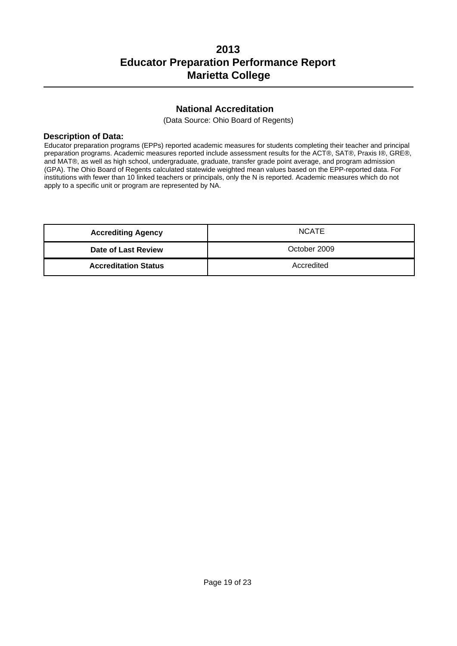### **National Accreditation**

(Data Source: Ohio Board of Regents)

### **Description of Data:**

Educator preparation programs (EPPs) reported academic measures for students completing their teacher and principal preparation programs. Academic measures reported include assessment results for the ACT®, SAT®, Praxis I®, GRE®, and MAT®, as well as high school, undergraduate, graduate, transfer grade point average, and program admission (GPA). The Ohio Board of Regents calculated statewide weighted mean values based on the EPP-reported data. For institutions with fewer than 10 linked teachers or principals, only the N is reported. Academic measures which do not apply to a specific unit or program are represented by NA.

| <b>Accrediting Agency</b>   | <b>NCATE</b> |
|-----------------------------|--------------|
| Date of Last Review         | October 2009 |
| <b>Accreditation Status</b> | Accredited   |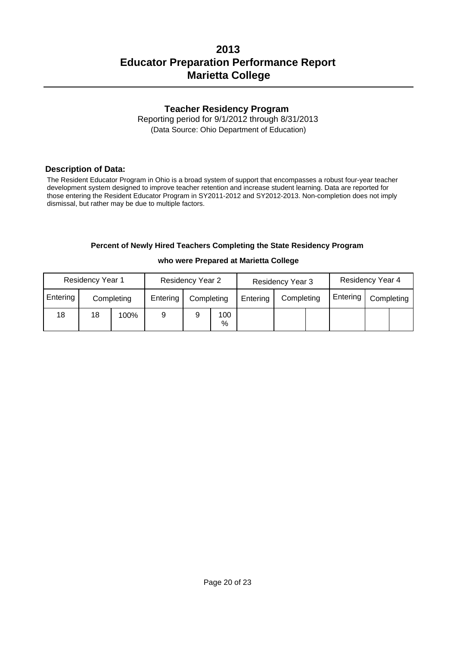### **Teacher Residency Program**

Reporting period for 9/1/2012 through 8/31/2013 (Data Source: Ohio Department of Education)

### **Description of Data:**

The Resident Educator Program in Ohio is a broad system of support that encompasses a robust four-year teacher development system designed to improve teacher retention and increase student learning. Data are reported for those entering the Resident Educator Program in SY2011-2012 and SY2012-2013. Non-completion does not imply dismissal, but rather may be due to multiple factors.

### **Percent of Newly Hired Teachers Completing the State Residency Program**

|          | <b>Residency Year 1</b> |            | <b>Residency Year 2</b> |            | <b>Residency Year 3</b> |          | Residency Year 4 |  |          |            |  |
|----------|-------------------------|------------|-------------------------|------------|-------------------------|----------|------------------|--|----------|------------|--|
| Entering |                         | Completing | Entering                | Completing |                         | Entering | Completing       |  | Entering | Completing |  |
| 18       | 18                      | 100%       | 9                       |            | 100<br>%                |          |                  |  |          |            |  |

#### **who were Prepared at Marietta College**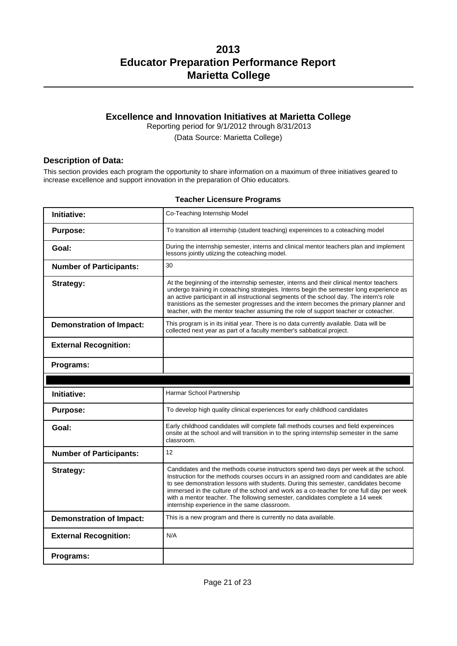## **Excellence and Innovation Initiatives at Marietta College**

Reporting period for 9/1/2012 through 8/31/2013

(Data Source: Marietta College)

### **Description of Data:**

This section provides each program the opportunity to share information on a maximum of three initiatives geared to increase excellence and support innovation in the preparation of Ohio educators.

### **Teacher Licensure Programs**

| Initiative:                     | Co-Teaching Internship Model                                                                                                                                                                                                                                                                                                                                                                                                                                                                      |
|---------------------------------|---------------------------------------------------------------------------------------------------------------------------------------------------------------------------------------------------------------------------------------------------------------------------------------------------------------------------------------------------------------------------------------------------------------------------------------------------------------------------------------------------|
| <b>Purpose:</b>                 | To transition all internship (student teaching) expereinces to a coteaching model                                                                                                                                                                                                                                                                                                                                                                                                                 |
| Goal:                           | During the internship semester, interns and clinical mentor teachers plan and implement<br>lessons jointly utiizing the coteaching model.                                                                                                                                                                                                                                                                                                                                                         |
| <b>Number of Participants:</b>  | 30                                                                                                                                                                                                                                                                                                                                                                                                                                                                                                |
| Strategy:                       | At the beginning of the internship semester, interns and their clinical mentor teachers<br>undergo training in coteaching strategies. Interns begin the semester long experience as<br>an active participant in all instructional segments of the school day. The intern's role<br>tranistions as the semester progresses and the intern becomes the primary planner and<br>teacher, with the mentor teacher assuming the role of support teacher or coteacher.                                   |
| <b>Demonstration of Impact:</b> | This program is in its initial year. There is no data currently available. Data will be<br>collected next year as part of a faculty member's sabbatical project.                                                                                                                                                                                                                                                                                                                                  |
| <b>External Recognition:</b>    |                                                                                                                                                                                                                                                                                                                                                                                                                                                                                                   |
| Programs:                       |                                                                                                                                                                                                                                                                                                                                                                                                                                                                                                   |
|                                 |                                                                                                                                                                                                                                                                                                                                                                                                                                                                                                   |
|                                 |                                                                                                                                                                                                                                                                                                                                                                                                                                                                                                   |
| <b>Initiative:</b>              | Harmar School Partnership                                                                                                                                                                                                                                                                                                                                                                                                                                                                         |
| <b>Purpose:</b>                 | To develop high quality clinical experiences for early childhood candidates                                                                                                                                                                                                                                                                                                                                                                                                                       |
| Goal:                           | Early childhood candidates will complete fall methods courses and field expereinces<br>onsite at the school and will transition in to the spring internship semester in the same<br>classroom.                                                                                                                                                                                                                                                                                                    |
| <b>Number of Participants:</b>  | 12                                                                                                                                                                                                                                                                                                                                                                                                                                                                                                |
| Strategy:                       | Candidates and the methods course instructors spend two days per week at the school.<br>Instruction for the methods courses occurs in an assigned room and candidates are able<br>to see demonstration lessons with students. During this semester, candidates become<br>immersed in the culture of the school and work as a co-teacher for one full day per week<br>with a mentor teacher. The following semester, candidates complete a 14 week<br>internship experience in the same classroom. |
| <b>Demonstration of Impact:</b> | This is a new program and there is currently no data available.                                                                                                                                                                                                                                                                                                                                                                                                                                   |
| <b>External Recognition:</b>    | N/A                                                                                                                                                                                                                                                                                                                                                                                                                                                                                               |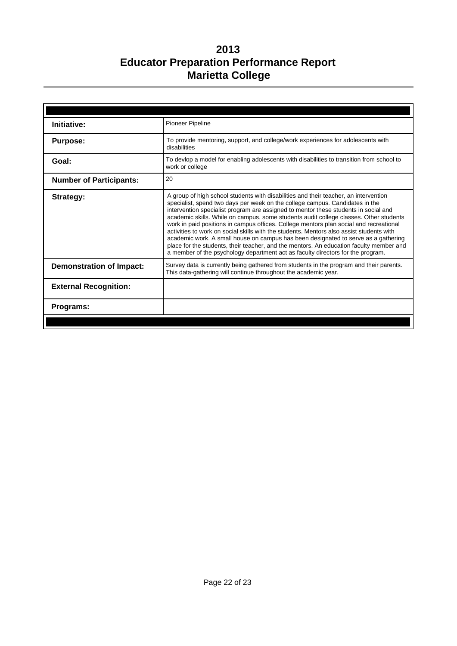| Initiative:                     | <b>Pioneer Pipeline</b>                                                                                                                                                                                                                                                                                                                                                                                                                                                                                                                                                                                                                                                                                                                                                                                        |
|---------------------------------|----------------------------------------------------------------------------------------------------------------------------------------------------------------------------------------------------------------------------------------------------------------------------------------------------------------------------------------------------------------------------------------------------------------------------------------------------------------------------------------------------------------------------------------------------------------------------------------------------------------------------------------------------------------------------------------------------------------------------------------------------------------------------------------------------------------|
| <b>Purpose:</b>                 | To provide mentoring, support, and college/work experiences for adolescents with<br>disabilities                                                                                                                                                                                                                                                                                                                                                                                                                                                                                                                                                                                                                                                                                                               |
| Goal:                           | To devlop a model for enabling adolescents with disabilities to transition from school to<br>work or college                                                                                                                                                                                                                                                                                                                                                                                                                                                                                                                                                                                                                                                                                                   |
| <b>Number of Participants:</b>  | 20                                                                                                                                                                                                                                                                                                                                                                                                                                                                                                                                                                                                                                                                                                                                                                                                             |
| Strategy:                       | A group of high school students with disabilities and their teacher, an intervention<br>specialist, spend two days per week on the college campus. Candidates in the<br>intervention specialist program are assigned to mentor these students in social and<br>academic skills. While on campus, some students audit college classes. Other students<br>work in paid positions in campus offices. College mentors plan social and recreational<br>activities to work on social skills with the students. Mentors also assist students with<br>academic work. A small house on campus has been designated to serve as a gathering<br>place for the students, their teacher, and the mentors. An education faculty member and<br>a member of the psychology department act as faculty directors for the program. |
| <b>Demonstration of Impact:</b> | Survey data is currently being gathered from students in the program and their parents.<br>This data-gathering will continue throughout the academic year.                                                                                                                                                                                                                                                                                                                                                                                                                                                                                                                                                                                                                                                     |
| <b>External Recognition:</b>    |                                                                                                                                                                                                                                                                                                                                                                                                                                                                                                                                                                                                                                                                                                                                                                                                                |
| <b>Programs:</b>                |                                                                                                                                                                                                                                                                                                                                                                                                                                                                                                                                                                                                                                                                                                                                                                                                                |
|                                 |                                                                                                                                                                                                                                                                                                                                                                                                                                                                                                                                                                                                                                                                                                                                                                                                                |